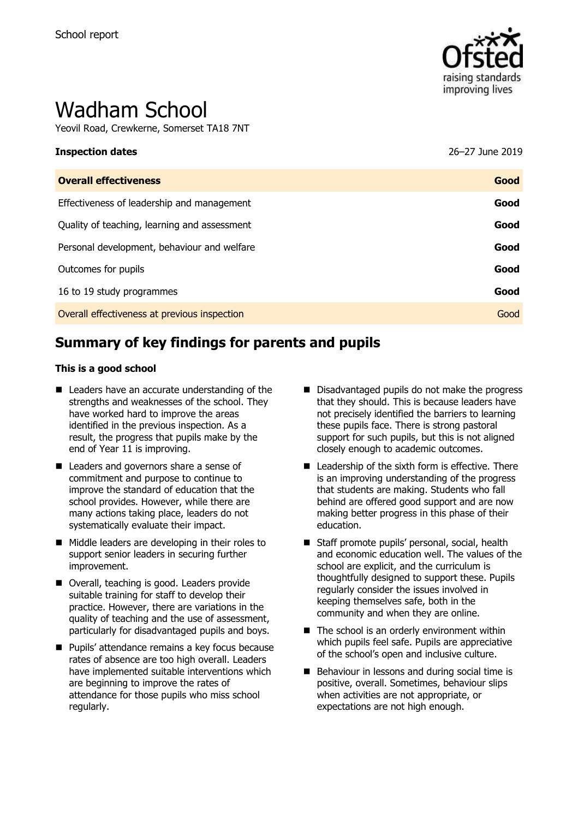

# Wadham School

Yeovil Road, Crewkerne, Somerset TA18 7NT

| <b>Inspection dates</b>                      | 26–27 June 2019 |
|----------------------------------------------|-----------------|
| <b>Overall effectiveness</b>                 | Good            |
| Effectiveness of leadership and management   | Good            |
| Quality of teaching, learning and assessment | Good            |
| Personal development, behaviour and welfare  | Good            |
| Outcomes for pupils                          | Good            |
| 16 to 19 study programmes                    | Good            |
| Overall effectiveness at previous inspection | Good            |

# **Summary of key findings for parents and pupils**

#### **This is a good school**

- Leaders have an accurate understanding of the strengths and weaknesses of the school. They have worked hard to improve the areas identified in the previous inspection. As a result, the progress that pupils make by the end of Year 11 is improving.
- Leaders and governors share a sense of commitment and purpose to continue to improve the standard of education that the school provides. However, while there are many actions taking place, leaders do not systematically evaluate their impact.
- Middle leaders are developing in their roles to support senior leaders in securing further improvement.
- Overall, teaching is good. Leaders provide suitable training for staff to develop their practice. However, there are variations in the quality of teaching and the use of assessment, particularly for disadvantaged pupils and boys.
- **Pupils' attendance remains a key focus because** rates of absence are too high overall. Leaders have implemented suitable interventions which are beginning to improve the rates of attendance for those pupils who miss school regularly.
- Disadvantaged pupils do not make the progress that they should. This is because leaders have not precisely identified the barriers to learning these pupils face. There is strong pastoral support for such pupils, but this is not aligned closely enough to academic outcomes.
- Leadership of the sixth form is effective. There is an improving understanding of the progress that students are making. Students who fall behind are offered good support and are now making better progress in this phase of their education.
- Staff promote pupils' personal, social, health and economic education well. The values of the school are explicit, and the curriculum is thoughtfully designed to support these. Pupils regularly consider the issues involved in keeping themselves safe, both in the community and when they are online.
- $\blacksquare$  The school is an orderly environment within which pupils feel safe. Pupils are appreciative of the school's open and inclusive culture.
- Behaviour in lessons and during social time is positive, overall. Sometimes, behaviour slips when activities are not appropriate, or expectations are not high enough.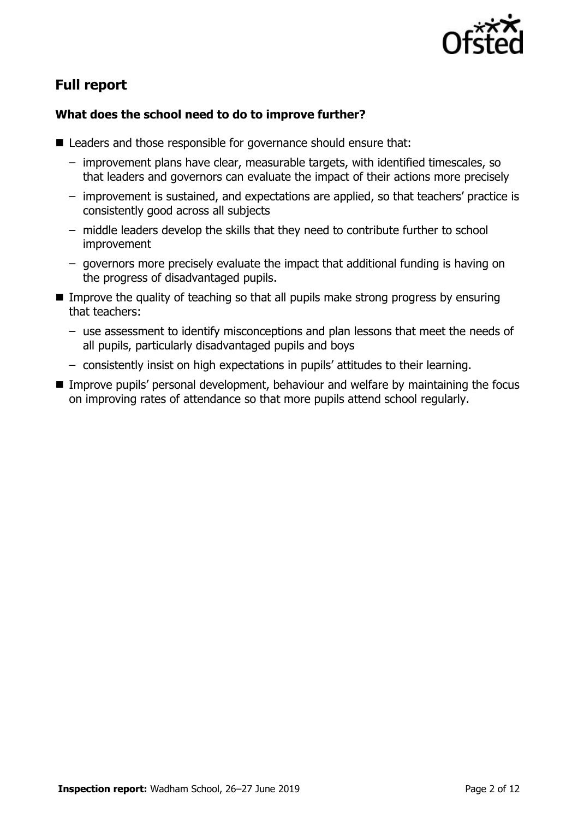

# **Full report**

### **What does the school need to do to improve further?**

- Leaders and those responsible for governance should ensure that:
	- improvement plans have clear, measurable targets, with identified timescales, so that leaders and governors can evaluate the impact of their actions more precisely
	- improvement is sustained, and expectations are applied, so that teachers' practice is consistently good across all subjects
	- middle leaders develop the skills that they need to contribute further to school improvement
	- governors more precisely evaluate the impact that additional funding is having on the progress of disadvantaged pupils.
- **IMPROVE the quality of teaching so that all pupils make strong progress by ensuring** that teachers:
	- use assessment to identify misconceptions and plan lessons that meet the needs of all pupils, particularly disadvantaged pupils and boys
	- consistently insist on high expectations in pupils' attitudes to their learning.
- Improve pupils' personal development, behaviour and welfare by maintaining the focus on improving rates of attendance so that more pupils attend school regularly.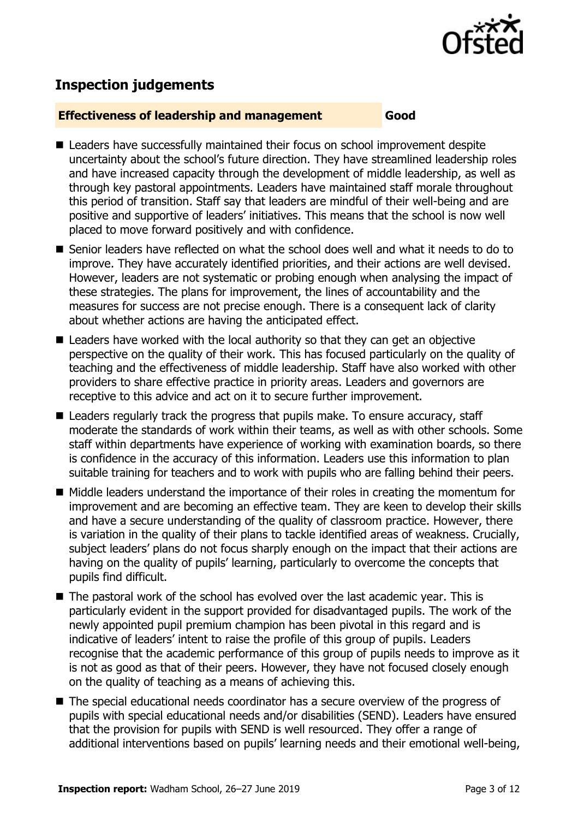

# **Inspection judgements**

#### **Effectiveness of leadership and management Good**

- Leaders have successfully maintained their focus on school improvement despite uncertainty about the school's future direction. They have streamlined leadership roles and have increased capacity through the development of middle leadership, as well as through key pastoral appointments. Leaders have maintained staff morale throughout this period of transition. Staff say that leaders are mindful of their well-being and are positive and supportive of leaders' initiatives. This means that the school is now well placed to move forward positively and with confidence.
- Senior leaders have reflected on what the school does well and what it needs to do to improve. They have accurately identified priorities, and their actions are well devised. However, leaders are not systematic or probing enough when analysing the impact of these strategies. The plans for improvement, the lines of accountability and the measures for success are not precise enough. There is a consequent lack of clarity about whether actions are having the anticipated effect.
- Leaders have worked with the local authority so that they can get an objective perspective on the quality of their work. This has focused particularly on the quality of teaching and the effectiveness of middle leadership. Staff have also worked with other providers to share effective practice in priority areas. Leaders and governors are receptive to this advice and act on it to secure further improvement.
- Leaders regularly track the progress that pupils make. To ensure accuracy, staff moderate the standards of work within their teams, as well as with other schools. Some staff within departments have experience of working with examination boards, so there is confidence in the accuracy of this information. Leaders use this information to plan suitable training for teachers and to work with pupils who are falling behind their peers.
- Middle leaders understand the importance of their roles in creating the momentum for improvement and are becoming an effective team. They are keen to develop their skills and have a secure understanding of the quality of classroom practice. However, there is variation in the quality of their plans to tackle identified areas of weakness. Crucially, subject leaders' plans do not focus sharply enough on the impact that their actions are having on the quality of pupils' learning, particularly to overcome the concepts that pupils find difficult.
- The pastoral work of the school has evolved over the last academic year. This is particularly evident in the support provided for disadvantaged pupils. The work of the newly appointed pupil premium champion has been pivotal in this regard and is indicative of leaders' intent to raise the profile of this group of pupils. Leaders recognise that the academic performance of this group of pupils needs to improve as it is not as good as that of their peers. However, they have not focused closely enough on the quality of teaching as a means of achieving this.
- The special educational needs coordinator has a secure overview of the progress of pupils with special educational needs and/or disabilities (SEND). Leaders have ensured that the provision for pupils with SEND is well resourced. They offer a range of additional interventions based on pupils' learning needs and their emotional well-being,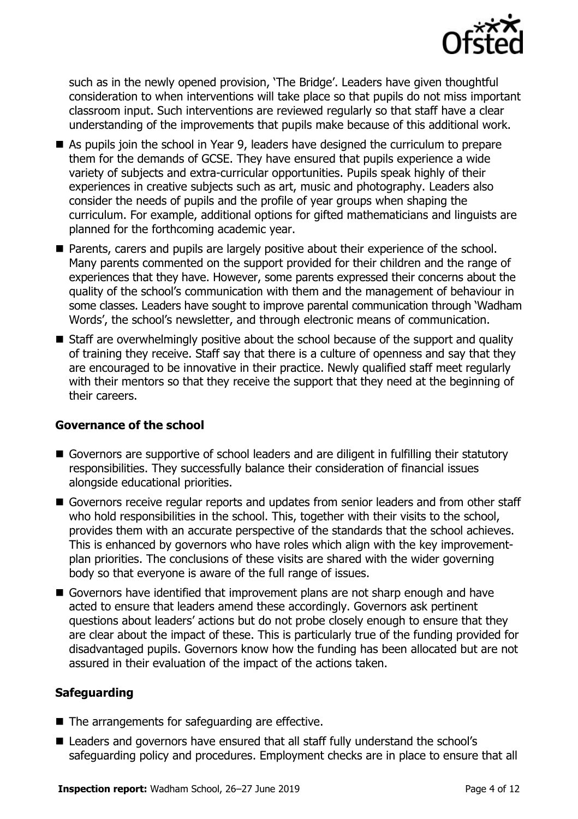

such as in the newly opened provision, 'The Bridge'. Leaders have given thoughtful consideration to when interventions will take place so that pupils do not miss important classroom input. Such interventions are reviewed regularly so that staff have a clear understanding of the improvements that pupils make because of this additional work.

- As pupils join the school in Year 9, leaders have designed the curriculum to prepare them for the demands of GCSE. They have ensured that pupils experience a wide variety of subjects and extra-curricular opportunities. Pupils speak highly of their experiences in creative subjects such as art, music and photography. Leaders also consider the needs of pupils and the profile of year groups when shaping the curriculum. For example, additional options for gifted mathematicians and linguists are planned for the forthcoming academic year.
- **Parents, carers and pupils are largely positive about their experience of the school.** Many parents commented on the support provided for their children and the range of experiences that they have. However, some parents expressed their concerns about the quality of the school's communication with them and the management of behaviour in some classes. Leaders have sought to improve parental communication through 'Wadham Words', the school's newsletter, and through electronic means of communication.
- Staff are overwhelmingly positive about the school because of the support and quality of training they receive. Staff say that there is a culture of openness and say that they are encouraged to be innovative in their practice. Newly qualified staff meet regularly with their mentors so that they receive the support that they need at the beginning of their careers.

#### **Governance of the school**

- Governors are supportive of school leaders and are diligent in fulfilling their statutory responsibilities. They successfully balance their consideration of financial issues alongside educational priorities.
- Governors receive regular reports and updates from senior leaders and from other staff who hold responsibilities in the school. This, together with their visits to the school, provides them with an accurate perspective of the standards that the school achieves. This is enhanced by governors who have roles which align with the key improvementplan priorities. The conclusions of these visits are shared with the wider governing body so that everyone is aware of the full range of issues.
- Governors have identified that improvement plans are not sharp enough and have acted to ensure that leaders amend these accordingly. Governors ask pertinent questions about leaders' actions but do not probe closely enough to ensure that they are clear about the impact of these. This is particularly true of the funding provided for disadvantaged pupils. Governors know how the funding has been allocated but are not assured in their evaluation of the impact of the actions taken.

#### **Safeguarding**

- $\blacksquare$  The arrangements for safeguarding are effective.
- Leaders and governors have ensured that all staff fully understand the school's safeguarding policy and procedures. Employment checks are in place to ensure that all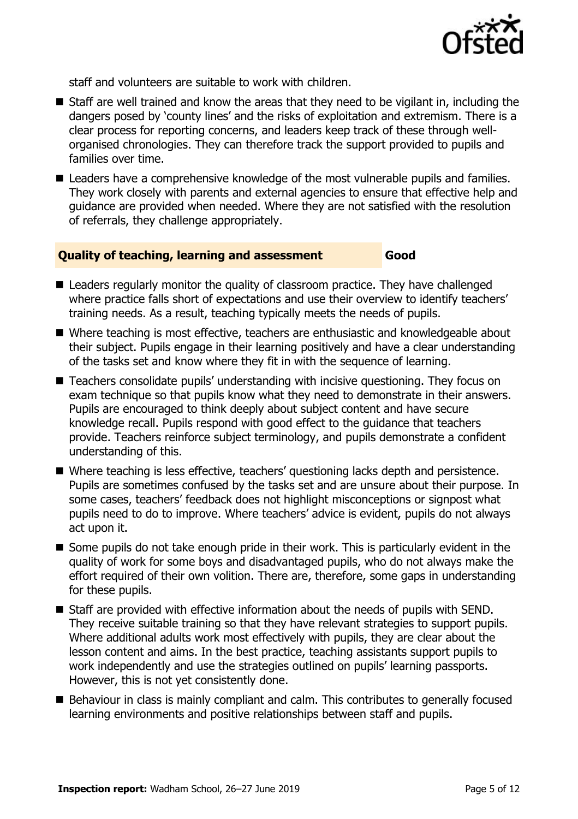

staff and volunteers are suitable to work with children.

- Staff are well trained and know the areas that they need to be vigilant in, including the dangers posed by 'county lines' and the risks of exploitation and extremism. There is a clear process for reporting concerns, and leaders keep track of these through wellorganised chronologies. They can therefore track the support provided to pupils and families over time.
- Leaders have a comprehensive knowledge of the most vulnerable pupils and families. They work closely with parents and external agencies to ensure that effective help and guidance are provided when needed. Where they are not satisfied with the resolution of referrals, they challenge appropriately.

#### **Quality of teaching, learning and assessment Good**

- Leaders regularly monitor the quality of classroom practice. They have challenged where practice falls short of expectations and use their overview to identify teachers' training needs. As a result, teaching typically meets the needs of pupils.
- Where teaching is most effective, teachers are enthusiastic and knowledgeable about their subject. Pupils engage in their learning positively and have a clear understanding of the tasks set and know where they fit in with the sequence of learning.
- Teachers consolidate pupils' understanding with incisive questioning. They focus on exam technique so that pupils know what they need to demonstrate in their answers. Pupils are encouraged to think deeply about subject content and have secure knowledge recall. Pupils respond with good effect to the guidance that teachers provide. Teachers reinforce subject terminology, and pupils demonstrate a confident understanding of this.
- Where teaching is less effective, teachers' questioning lacks depth and persistence. Pupils are sometimes confused by the tasks set and are unsure about their purpose. In some cases, teachers' feedback does not highlight misconceptions or signpost what pupils need to do to improve. Where teachers' advice is evident, pupils do not always act upon it.
- Some pupils do not take enough pride in their work. This is particularly evident in the quality of work for some boys and disadvantaged pupils, who do not always make the effort required of their own volition. There are, therefore, some gaps in understanding for these pupils.
- Staff are provided with effective information about the needs of pupils with SEND. They receive suitable training so that they have relevant strategies to support pupils. Where additional adults work most effectively with pupils, they are clear about the lesson content and aims. In the best practice, teaching assistants support pupils to work independently and use the strategies outlined on pupils' learning passports. However, this is not yet consistently done.
- Behaviour in class is mainly compliant and calm. This contributes to generally focused learning environments and positive relationships between staff and pupils.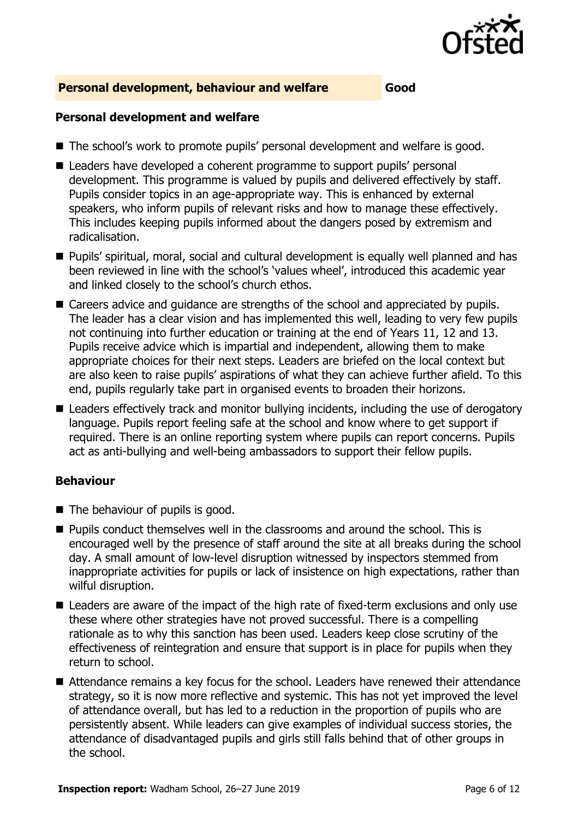

#### **Personal development, behaviour and welfare Good**

#### **Personal development and welfare**

- The school's work to promote pupils' personal development and welfare is good.
- Leaders have developed a coherent programme to support pupils' personal development. This programme is valued by pupils and delivered effectively by staff. Pupils consider topics in an age-appropriate way. This is enhanced by external speakers, who inform pupils of relevant risks and how to manage these effectively. This includes keeping pupils informed about the dangers posed by extremism and radicalisation.
- Pupils' spiritual, moral, social and cultural development is equally well planned and has been reviewed in line with the school's 'values wheel', introduced this academic year and linked closely to the school's church ethos.
- Careers advice and quidance are strengths of the school and appreciated by pupils. The leader has a clear vision and has implemented this well, leading to very few pupils not continuing into further education or training at the end of Years 11, 12 and 13. Pupils receive advice which is impartial and independent, allowing them to make appropriate choices for their next steps. Leaders are briefed on the local context but are also keen to raise pupils' aspirations of what they can achieve further afield. To this end, pupils regularly take part in organised events to broaden their horizons.
- Leaders effectively track and monitor bullying incidents, including the use of derogatory language. Pupils report feeling safe at the school and know where to get support if required. There is an online reporting system where pupils can report concerns. Pupils act as anti-bullying and well-being ambassadors to support their fellow pupils.

#### **Behaviour**

- The behaviour of pupils is good.
- **Pupils conduct themselves well in the classrooms and around the school. This is** encouraged well by the presence of staff around the site at all breaks during the school day. A small amount of low-level disruption witnessed by inspectors stemmed from inappropriate activities for pupils or lack of insistence on high expectations, rather than wilful disruption.
- Leaders are aware of the impact of the high rate of fixed-term exclusions and only use these where other strategies have not proved successful. There is a compelling rationale as to why this sanction has been used. Leaders keep close scrutiny of the effectiveness of reintegration and ensure that support is in place for pupils when they return to school.
- Attendance remains a key focus for the school. Leaders have renewed their attendance strategy, so it is now more reflective and systemic. This has not yet improved the level of attendance overall, but has led to a reduction in the proportion of pupils who are persistently absent. While leaders can give examples of individual success stories, the attendance of disadvantaged pupils and girls still falls behind that of other groups in the school.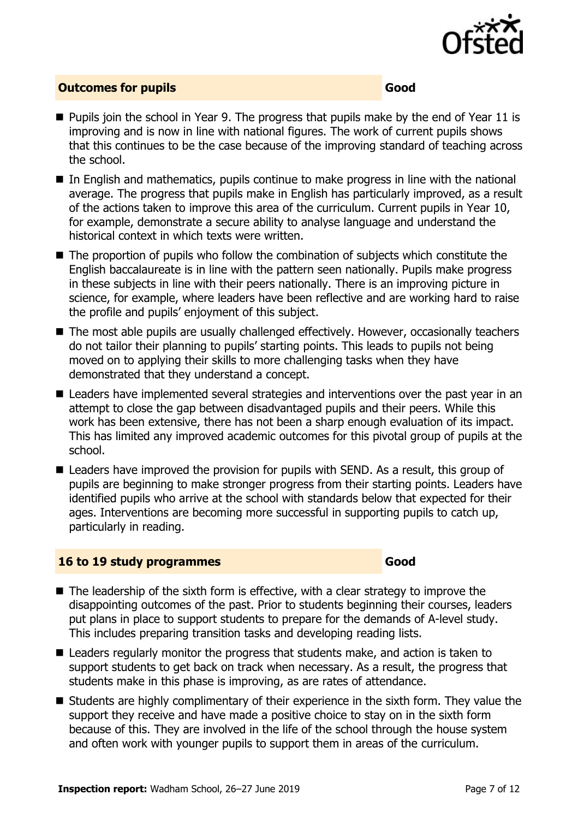

#### **Outcomes for pupils Good**

- **Pupils join the school in Year 9. The progress that pupils make by the end of Year 11 is** improving and is now in line with national figures. The work of current pupils shows that this continues to be the case because of the improving standard of teaching across the school.
- In English and mathematics, pupils continue to make progress in line with the national average. The progress that pupils make in English has particularly improved, as a result of the actions taken to improve this area of the curriculum. Current pupils in Year 10, for example, demonstrate a secure ability to analyse language and understand the historical context in which texts were written.
- The proportion of pupils who follow the combination of subjects which constitute the English baccalaureate is in line with the pattern seen nationally. Pupils make progress in these subjects in line with their peers nationally. There is an improving picture in science, for example, where leaders have been reflective and are working hard to raise the profile and pupils' enjoyment of this subject.
- The most able pupils are usually challenged effectively. However, occasionally teachers do not tailor their planning to pupils' starting points. This leads to pupils not being moved on to applying their skills to more challenging tasks when they have demonstrated that they understand a concept.
- Leaders have implemented several strategies and interventions over the past year in an attempt to close the gap between disadvantaged pupils and their peers. While this work has been extensive, there has not been a sharp enough evaluation of its impact. This has limited any improved academic outcomes for this pivotal group of pupils at the school.
- Leaders have improved the provision for pupils with SEND. As a result, this group of pupils are beginning to make stronger progress from their starting points. Leaders have identified pupils who arrive at the school with standards below that expected for their ages. Interventions are becoming more successful in supporting pupils to catch up, particularly in reading.

#### **16 to 19 study programmes Good**

- $\blacksquare$  The leadership of the sixth form is effective, with a clear strategy to improve the disappointing outcomes of the past. Prior to students beginning their courses, leaders put plans in place to support students to prepare for the demands of A-level study. This includes preparing transition tasks and developing reading lists.
- Leaders regularly monitor the progress that students make, and action is taken to support students to get back on track when necessary. As a result, the progress that students make in this phase is improving, as are rates of attendance.
- Students are highly complimentary of their experience in the sixth form. They value the support they receive and have made a positive choice to stay on in the sixth form because of this. They are involved in the life of the school through the house system and often work with younger pupils to support them in areas of the curriculum.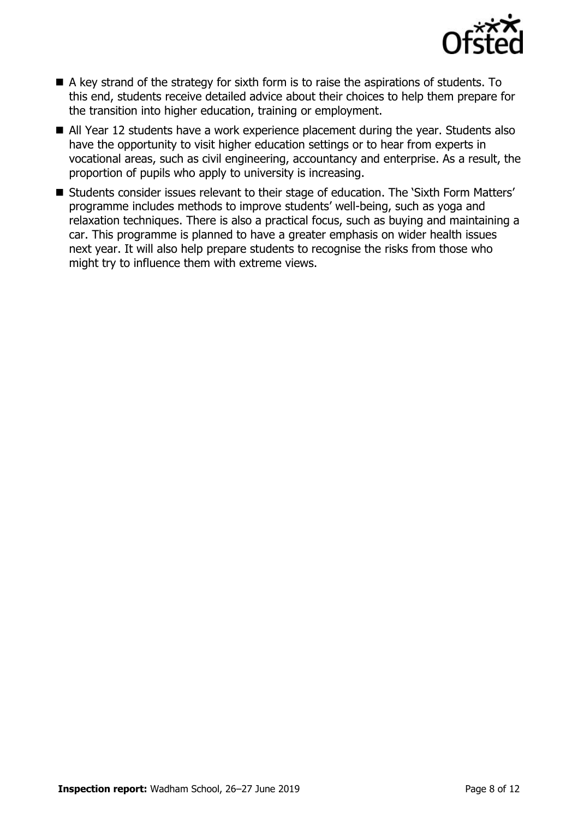

- A key strand of the strategy for sixth form is to raise the aspirations of students. To this end, students receive detailed advice about their choices to help them prepare for the transition into higher education, training or employment.
- All Year 12 students have a work experience placement during the year. Students also have the opportunity to visit higher education settings or to hear from experts in vocational areas, such as civil engineering, accountancy and enterprise. As a result, the proportion of pupils who apply to university is increasing.
- Students consider issues relevant to their stage of education. The 'Sixth Form Matters' programme includes methods to improve students' well-being, such as yoga and relaxation techniques. There is also a practical focus, such as buying and maintaining a car. This programme is planned to have a greater emphasis on wider health issues next year. It will also help prepare students to recognise the risks from those who might try to influence them with extreme views.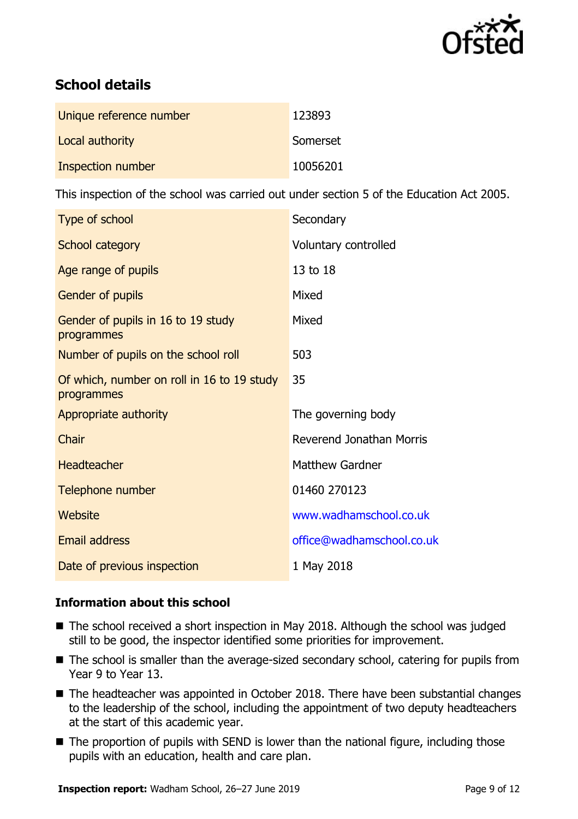

# **School details**

| Unique reference number | 123893   |
|-------------------------|----------|
| Local authority         | Somerset |
| Inspection number       | 10056201 |

This inspection of the school was carried out under section 5 of the Education Act 2005.

| Type of school                                           | Secondary                       |
|----------------------------------------------------------|---------------------------------|
| School category                                          | Voluntary controlled            |
| Age range of pupils                                      | 13 to 18                        |
| Gender of pupils                                         | Mixed                           |
| Gender of pupils in 16 to 19 study<br>programmes         | Mixed                           |
| Number of pupils on the school roll                      | 503                             |
| Of which, number on roll in 16 to 19 study<br>programmes | 35                              |
| Appropriate authority                                    | The governing body              |
| Chair                                                    | <b>Reverend Jonathan Morris</b> |
| <b>Headteacher</b>                                       | <b>Matthew Gardner</b>          |
| Telephone number                                         | 01460 270123                    |
| Website                                                  | www.wadhamschool.co.uk          |
| <b>Email address</b>                                     | office@wadhamschool.co.uk       |
| Date of previous inspection                              | 1 May 2018                      |

### **Information about this school**

- The school received a short inspection in May 2018. Although the school was judged still to be good, the inspector identified some priorities for improvement.
- The school is smaller than the average-sized secondary school, catering for pupils from Year 9 to Year 13.
- The headteacher was appointed in October 2018. There have been substantial changes to the leadership of the school, including the appointment of two deputy headteachers at the start of this academic year.
- The proportion of pupils with SEND is lower than the national figure, including those pupils with an education, health and care plan.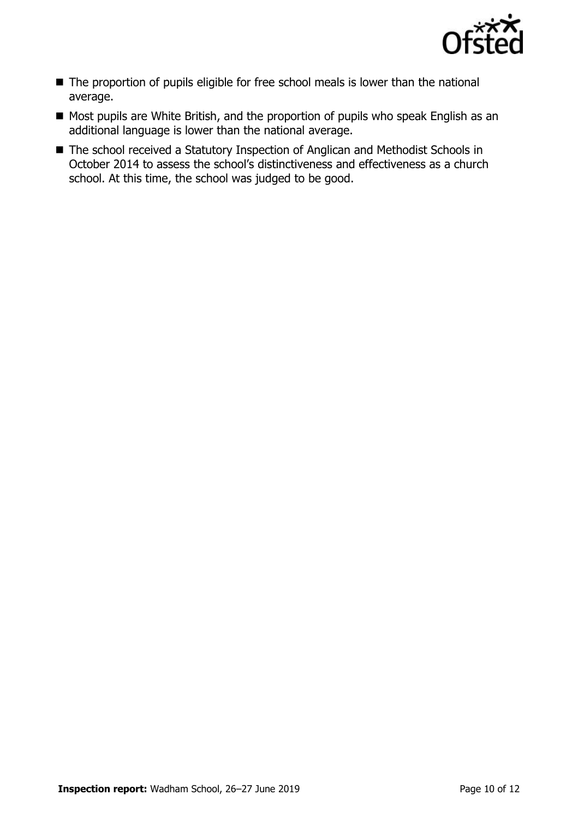

- The proportion of pupils eligible for free school meals is lower than the national average.
- Most pupils are White British, and the proportion of pupils who speak English as an additional language is lower than the national average.
- The school received a Statutory Inspection of Anglican and Methodist Schools in October 2014 to assess the school's distinctiveness and effectiveness as a church school. At this time, the school was judged to be good.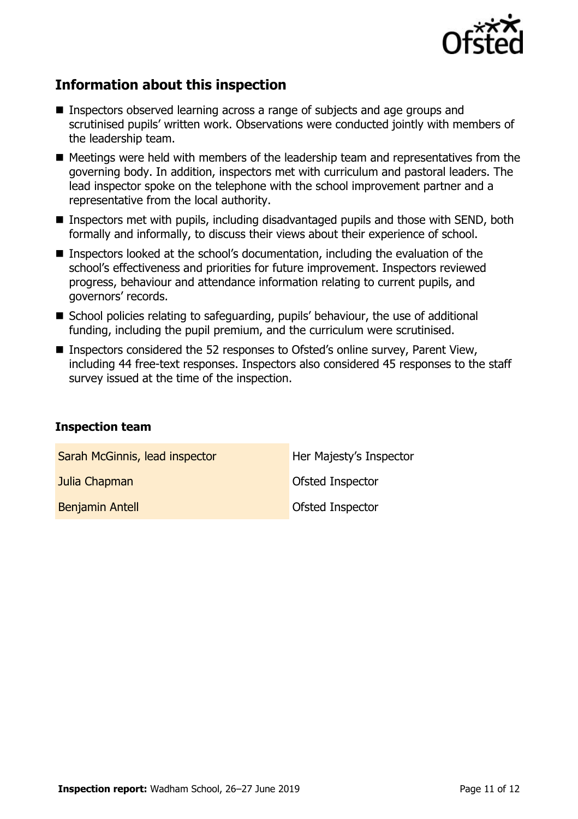

# **Information about this inspection**

- Inspectors observed learning across a range of subjects and age groups and scrutinised pupils' written work. Observations were conducted jointly with members of the leadership team.
- $\blacksquare$  Meetings were held with members of the leadership team and representatives from the governing body. In addition, inspectors met with curriculum and pastoral leaders. The lead inspector spoke on the telephone with the school improvement partner and a representative from the local authority.
- **Inspectors met with pupils, including disadvantaged pupils and those with SEND, both** formally and informally, to discuss their views about their experience of school.
- Inspectors looked at the school's documentation, including the evaluation of the school's effectiveness and priorities for future improvement. Inspectors reviewed progress, behaviour and attendance information relating to current pupils, and governors' records.
- School policies relating to safeguarding, pupils' behaviour, the use of additional funding, including the pupil premium, and the curriculum were scrutinised.
- Inspectors considered the 52 responses to Ofsted's online survey, Parent View, including 44 free-text responses. Inspectors also considered 45 responses to the staff survey issued at the time of the inspection.

#### **Inspection team**

| Sarah McGinnis, lead inspector | Her Majesty's Inspector |
|--------------------------------|-------------------------|
| Julia Chapman                  | Ofsted Inspector        |
| <b>Benjamin Antell</b>         | Ofsted Inspector        |